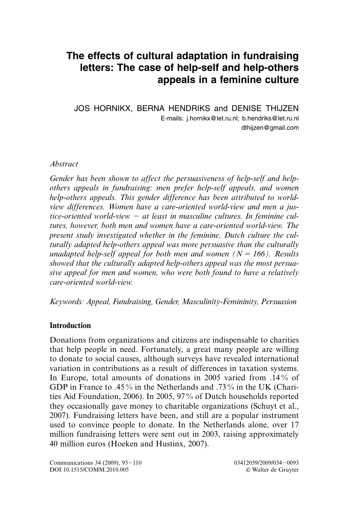# **The effects of cultural adaptation in fundraising letters: The case of help-self and help-others appeals in a feminine culture**

JOS HORNIKX, BERNA HENDRIKS and DENISE THIJZEN E-mails: j.hornikx@let.ru.nl; b.hendriks@let.ru.nl dthijzen@gmail.com

#### *Abstract*

*Gender has been shown to affect the persuasiveness of help-self and helpothers appeals in fundraising: men prefer help-self appeals, and women help-others appeals. This gender difference has been attributed to worldview differences. Women have a care-oriented world-view and men a jus*tice-oriented world-view – at least in masculine cultures. In feminine cul*tures, however, both men and women have a care-oriented world-view. The present study investigated whether in the feminine, Dutch culture the culturally adapted help-others appeal was more persuasive than the culturally unadapted help-self appeal for both men and women*  $(N = 166)$ . Results *showed that the culturally adapted help-others appeal was the most persuasive appeal for men and women, who were both found to have a relatively care-oriented world-view.*

*Keywords: Appeal, Fundraising, Gender, Masculinity-Femininity, Persuasion*

# **Introduction**

Donations from organizations and citizens are indispensable to charities that help people in need. Fortunately, a great many people are willing to donate to social causes, although surveys have revealed international variation in contributions as a result of differences in taxation systems. In Europe, total amounts of donations in 2005 varied from .14 % of GDP in France to .45% in the Netherlands and .73% in the UK (Charities Aid Foundation, 2006). In 2005, 97 % of Dutch households reported they occasionally gave money to charitable organizations (Schuyt et al., 2007). Fundraising letters have been, and still are a popular instrument used to convince people to donate. In the Netherlands alone, over 17 million fundraising letters were sent out in 2003, raising approximately 40 million euros (Hoeken and Hustinx, 2007).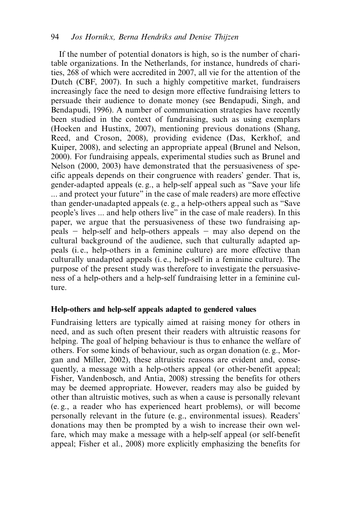# 94 *Jos Hornikx, Berna Hendriks and Denise Thijzen*

If the number of potential donators is high, so is the number of charitable organizations. In the Netherlands, for instance, hundreds of charities, 268 of which were accredited in 2007, all vie for the attention of the Dutch (CBF, 2007). In such a highly competitive market, fundraisers increasingly face the need to design more effective fundraising letters to persuade their audience to donate money (see Bendapudi, Singh, and Bendapudi, 1996). A number of communication strategies have recently been studied in the context of fundraising, such as using exemplars (Hoeken and Hustinx, 2007), mentioning previous donations (Shang, Reed, and Croson, 2008), providing evidence (Das, Kerkhof, and Kuiper, 2008), and selecting an appropriate appeal (Brunel and Nelson, 2000). For fundraising appeals, experimental studies such as Brunel and Nelson (2000, 2003) have demonstrated that the persuasiveness of specific appeals depends on their congruence with readers' gender. That is, gender-adapted appeals (e. g., a help-self appeal such as "Save your life ... and protect your future" in the case of male readers) are more effective than gender-unadapted appeals (e. g., a help-others appeal such as "Save people's lives ... and help others live" in the case of male readers). In this paper, we argue that the persuasiveness of these two fundraising appeals – help-self and help-others appeals – may also depend on the cultural background of the audience, such that culturally adapted appeals (i. e., help-others in a feminine culture) are more effective than culturally unadapted appeals (i. e., help-self in a feminine culture). The purpose of the present study was therefore to investigate the persuasiveness of a help-others and a help-self fundraising letter in a feminine culture.

#### **Help-others and help-self appeals adapted to gendered values**

Fundraising letters are typically aimed at raising money for others in need, and as such often present their readers with altruistic reasons for helping. The goal of helping behaviour is thus to enhance the welfare of others. For some kinds of behaviour, such as organ donation (e. g., Morgan and Miller, 2002), these altruistic reasons are evident and, consequently, a message with a help-others appeal (or other-benefit appeal; Fisher, Vandenbosch, and Antia, 2008) stressing the benefits for others may be deemed appropriate. However, readers may also be guided by other than altruistic motives, such as when a cause is personally relevant (e. g., a reader who has experienced heart problems), or will become personally relevant in the future (e. g., environmental issues). Readers' donations may then be prompted by a wish to increase their own welfare, which may make a message with a help-self appeal (or self-benefit appeal; Fisher et al., 2008) more explicitly emphasizing the benefits for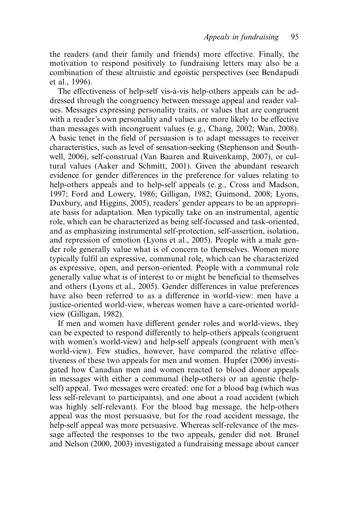the readers (and their family and friends) more effective. Finally, the motivation to respond positively to fundraising letters may also be a combination of these altruistic and egoistic perspectives (see Bendapudi et al., 1996).

The effectiveness of help-self vis-à-vis help-others appeals can be addressed through the congruency between message appeal and reader values. Messages expressing personality traits, or values that are congruent with a reader's own personality and values are more likely to be effective than messages with incongruent values (e. g., Chang, 2002; Wan, 2008). A basic tenet in the field of persuasion is to adapt messages to receiver characteristics, such as level of sensation-seeking (Stephenson and Southwell, 2006), self-construal (Van Baaren and Ruivenkamp, 2007), or cultural values (Aaker and Schmitt, 2001). Given the abundant research evidence for gender differences in the preference for values relating to help-others appeals and to help-self appeals (e. g., Cross and Madson, 1997; Ford and Lowery, 1986; Gilligan, 1982; Guimond, 2008; Lyons, Duxbury, and Higgins, 2005), readers' gender appears to be an appropriate basis for adaptation. Men typically take on an instrumental, agentic role, which can be characterized as being self-focussed and task-oriented, and as emphasizing instrumental self-protection, self-assertion, isolation, and repression of emotion (Lyons et al., 2005). People with a male gender role generally value what is of concern to themselves. Women more typically fulfil an expressive, communal role, which can be characterized as expressive, open, and person-oriented. People with a communal role generally value what is of interest to or might be beneficial to themselves and others (Lyons et al., 2005). Gender differences in value preferences have also been referred to as a difference in world-view: men have a justice-oriented world-view, whereas women have a care-oriented worldview (Gilligan, 1982).

If men and women have different gender roles and world-views, they can be expected to respond differently to help-others appeals (congruent with women's world-view) and help-self appeals (congruent with men's world-view). Few studies, however, have compared the relative effectiveness of these two appeals for men and women. Hupfer (2006) investigated how Canadian men and women reacted to blood donor appeals in messages with either a communal (help-others) or an agentic (helpself) appeal. Two messages were created: one for a blood bag (which was less self-relevant to participants), and one about a road accident (which was highly self-relevant). For the blood bag message, the help-others appeal was the most persuasive, but for the road accident message, the help-self appeal was more persuasive. Whereas self-relevance of the message affected the responses to the two appeals, gender did not. Brunel and Nelson (2000, 2003) investigated a fundraising message about cancer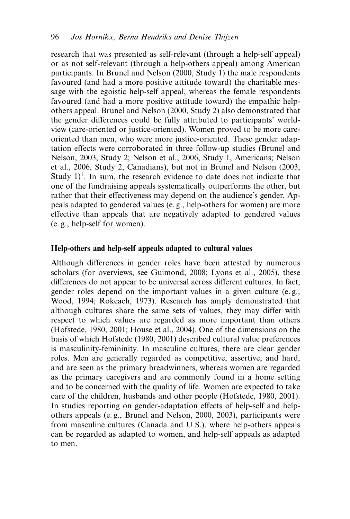research that was presented as self-relevant (through a help-self appeal) or as not self-relevant (through a help-others appeal) among American participants. In Brunel and Nelson (2000, Study 1) the male respondents favoured (and had a more positive attitude toward) the charitable message with the egoistic help-self appeal, whereas the female respondents favoured (and had a more positive attitude toward) the empathic helpothers appeal. Brunel and Nelson (2000, Study 2) also demonstrated that the gender differences could be fully attributed to participants' worldview (care-oriented or justice-oriented). Women proved to be more careoriented than men, who were more justice-oriented. These gender adaptation effects were corroborated in three follow-up studies (Brunel and Nelson, 2003, Study 2; Nelson et al., 2006, Study 1, Americans; Nelson et al., 2006, Study 2, Canadians), but not in Brunel and Nelson (2003, Study  $1$ <sup>1</sup>. In sum, the research evidence to date does not indicate that one of the fundraising appeals systematically outperforms the other, but rather that their effectiveness may depend on the audience's gender. Appeals adapted to gendered values (e. g., help-others for women) are more effective than appeals that are negatively adapted to gendered values (e. g., help-self for women).

#### **Help-others and help-self appeals adapted to cultural values**

Although differences in gender roles have been attested by numerous scholars (for overviews, see Guimond, 2008; Lyons et al., 2005), these differences do not appear to be universal across different cultures. In fact, gender roles depend on the important values in a given culture (e. g., Wood, 1994; Rokeach, 1973). Research has amply demonstrated that although cultures share the same sets of values, they may differ with respect to which values are regarded as more important than others (Hofstede, 1980, 2001; House et al., 2004). One of the dimensions on the basis of which Hofstede (1980, 2001) described cultural value preferences is masculinity-femininity. In masculine cultures, there are clear gender roles. Men are generally regarded as competitive, assertive, and hard, and are seen as the primary breadwinners, whereas women are regarded as the primary caregivers and are commonly found in a home setting and to be concerned with the quality of life. Women are expected to take care of the children, husbands and other people (Hofstede, 1980, 2001). In studies reporting on gender-adaptation effects of help-self and helpothers appeals (e. g., Brunel and Nelson, 2000, 2003), participants were from masculine cultures (Canada and U.S.), where help-others appeals can be regarded as adapted to women, and help-self appeals as adapted to men.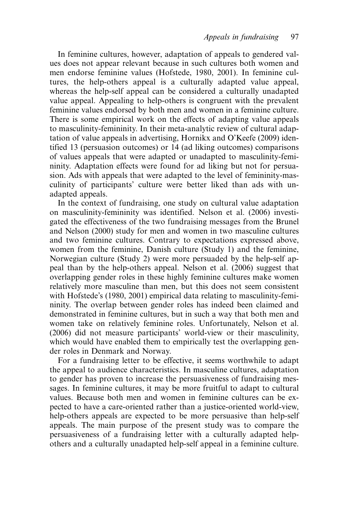In feminine cultures, however, adaptation of appeals to gendered values does not appear relevant because in such cultures both women and men endorse feminine values (Hofstede, 1980, 2001). In feminine cultures, the help-others appeal is a culturally adapted value appeal, whereas the help-self appeal can be considered a culturally unadapted value appeal. Appealing to help-others is congruent with the prevalent feminine values endorsed by both men and women in a feminine culture. There is some empirical work on the effects of adapting value appeals to masculinity-femininity. In their meta-analytic review of cultural adaptation of value appeals in advertising, Hornikx and O'Keefe (2009) identified 13 (persuasion outcomes) or 14 (ad liking outcomes) comparisons of values appeals that were adapted or unadapted to masculinity-femininity. Adaptation effects were found for ad liking but not for persuasion. Ads with appeals that were adapted to the level of femininity-masculinity of participants' culture were better liked than ads with unadapted appeals.

In the context of fundraising, one study on cultural value adaptation on masculinity-femininity was identified. Nelson et al. (2006) investigated the effectiveness of the two fundraising messages from the Brunel and Nelson (2000) study for men and women in two masculine cultures and two feminine cultures. Contrary to expectations expressed above, women from the feminine, Danish culture (Study 1) and the feminine, Norwegian culture (Study 2) were more persuaded by the help-self appeal than by the help-others appeal. Nelson et al. (2006) suggest that overlapping gender roles in these highly feminine cultures make women relatively more masculine than men, but this does not seem consistent with Hofstede's (1980, 2001) empirical data relating to masculinity-femininity. The overlap between gender roles has indeed been claimed and demonstrated in feminine cultures, but in such a way that both men and women take on relatively feminine roles. Unfortunately, Nelson et al. (2006) did not measure participants' world-view or their masculinity, which would have enabled them to empirically test the overlapping gender roles in Denmark and Norway.

For a fundraising letter to be effective, it seems worthwhile to adapt the appeal to audience characteristics. In masculine cultures, adaptation to gender has proven to increase the persuasiveness of fundraising messages. In feminine cultures, it may be more fruitful to adapt to cultural values. Because both men and women in feminine cultures can be expected to have a care-oriented rather than a justice-oriented world-view, help-others appeals are expected to be more persuasive than help-self appeals. The main purpose of the present study was to compare the persuasiveness of a fundraising letter with a culturally adapted helpothers and a culturally unadapted help-self appeal in a feminine culture.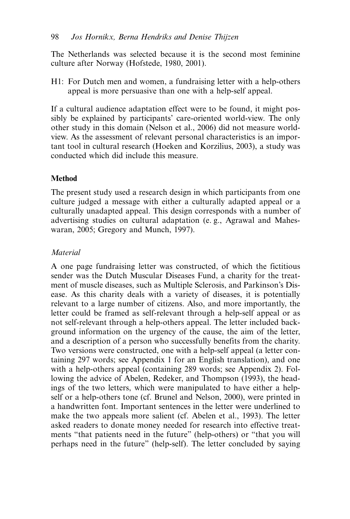The Netherlands was selected because it is the second most feminine culture after Norway (Hofstede, 1980, 2001).

H1: For Dutch men and women, a fundraising letter with a help-others appeal is more persuasive than one with a help-self appeal.

If a cultural audience adaptation effect were to be found, it might possibly be explained by participants' care-oriented world-view. The only other study in this domain (Nelson et al., 2006) did not measure worldview. As the assessment of relevant personal characteristics is an important tool in cultural research (Hoeken and Korzilius, 2003), a study was conducted which did include this measure.

# **Method**

The present study used a research design in which participants from one culture judged a message with either a culturally adapted appeal or a culturally unadapted appeal. This design corresponds with a number of advertising studies on cultural adaptation (e. g., Agrawal and Maheswaran, 2005; Gregory and Munch, 1997).

# *Material*

A one page fundraising letter was constructed, of which the fictitious sender was the Dutch Muscular Diseases Fund, a charity for the treatment of muscle diseases, such as Multiple Sclerosis, and Parkinson's Disease. As this charity deals with a variety of diseases, it is potentially relevant to a large number of citizens. Also, and more importantly, the letter could be framed as self-relevant through a help-self appeal or as not self-relevant through a help-others appeal. The letter included background information on the urgency of the cause, the aim of the letter, and a description of a person who successfully benefits from the charity. Two versions were constructed, one with a help-self appeal (a letter containing 297 words; see Appendix 1 for an English translation), and one with a help-others appeal (containing 289 words; see Appendix 2). Following the advice of Abelen, Redeker, and Thompson (1993), the headings of the two letters, which were manipulated to have either a helpself or a help-others tone (cf. Brunel and Nelson, 2000), were printed in a handwritten font. Important sentences in the letter were underlined to make the two appeals more salient (cf. Abelen et al., 1993). The letter asked readers to donate money needed for research into effective treatments "that patients need in the future" (help-others) or "that you will perhaps need in the future" (help-self). The letter concluded by saying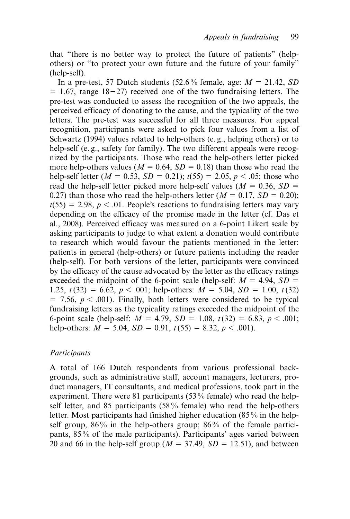that "there is no better way to protect the future of patients" (helpothers) or "to protect your own future and the future of your family" (help-self).

In a pre-test, 57 Dutch students  $(52.6\%$  female, age:  $M = 21.42$ , SD  $= 1.67$ , range 18–27) received one of the two fundraising letters. The pre-test was conducted to assess the recognition of the two appeals, the perceived efficacy of donating to the cause, and the typicality of the two letters. The pre-test was successful for all three measures. For appeal recognition, participants were asked to pick four values from a list of Schwartz (1994) values related to help-others (e. g., helping others) or to help-self (e. g., safety for family). The two different appeals were recognized by the participants. Those who read the help-others letter picked more help-others values ( $M = 0.64$ ,  $SD = 0.18$ ) than those who read the help-self letter ( $M = 0.53$ ,  $SD = 0.21$ );  $t(55) = 2.05$ ,  $p < .05$ ; those who read the help-self letter picked more help-self values ( $M = 0.36$ ,  $SD =$ 0.27) than those who read the help-others letter  $(M = 0.17, SD = 0.20)$ ;  $t(55) = 2.98$ ,  $p < .01$ . People's reactions to fundraising letters may vary depending on the efficacy of the promise made in the letter (cf. Das et al., 2008). Perceived efficacy was measured on a 6-point Likert scale by asking participants to judge to what extent a donation would contribute to research which would favour the patients mentioned in the letter: patients in general (help-others) or future patients including the reader (help-self). For both versions of the letter, participants were convinced by the efficacy of the cause advocated by the letter as the efficacy ratings exceeded the midpoint of the 6-point scale (help-self:  $M = 4.94$ ,  $SD =$ 1.25,  $t(32) = 6.62$ ,  $p < .001$ ; help-others:  $M = 5.04$ ,  $SD = 1.00$ ,  $t(32)$  $= 7.56, p < .001$ ). Finally, both letters were considered to be typical fundraising letters as the typicality ratings exceeded the midpoint of the 6-point scale (help-self:  $M = 4.79$ ,  $SD = 1.08$ ,  $t(32) = 6.83$ ,  $p < .001$ ; help-others:  $M = 5.04$ ,  $SD = 0.91$ ,  $t(55) = 8.32$ ,  $p < .001$ ).

#### *Participants*

A total of 166 Dutch respondents from various professional backgrounds, such as administrative staff, account managers, lecturers, product managers, IT consultants, and medical professions, took part in the experiment. There were 81 participants (53% female) who read the helpself letter, and 85 participants (58 % female) who read the help-others letter. Most participants had finished higher education (85 % in the helpself group,  $86\%$  in the help-others group;  $86\%$  of the female participants, 85 % of the male participants). Participants' ages varied between 20 and 66 in the help-self group ( $M = 37.49$ ,  $SD = 12.51$ ), and between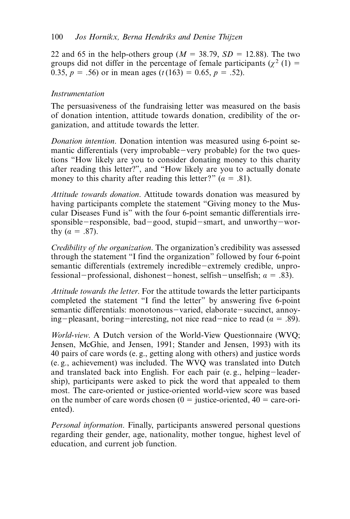22 and 65 in the help-others group ( $M = 38.79$ ,  $SD = 12.88$ ). The two groups did not differ in the percentage of female participants ( $\chi^2$  (1) = 0.35,  $p = .56$  or in mean ages ( $t(163) = 0.65$ ,  $p = .52$ ).

# *Instrumentation*

The persuasiveness of the fundraising letter was measured on the basis of donation intention, attitude towards donation, credibility of the organization, and attitude towards the letter.

*Donation intention*. Donation intention was measured using 6-point semantic differentials (very improbable-very probable) for the two questions "How likely are you to consider donating money to this charity after reading this letter?", and "How likely are you to actually donate money to this charity after reading this letter?"  $(a = .81)$ .

*Attitude towards donation*. Attitude towards donation was measured by having participants complete the statement "Giving money to the Muscular Diseases Fund is" with the four 6-point semantic differentials irresponsible-responsible, bad-good, stupid-smart, and unworthy-worthy  $(a = .87)$ .

*Credibility of the organization*. The organization's credibility was assessed through the statement "I find the organization" followed by four 6-point semantic differentials (extremely incredible-extremely credible, unprofessional–professional, dishonest–honest, selfish–unselfish; *α* = .83).

*Attitude towards the letter*. For the attitude towards the letter participants completed the statement "I find the letter" by answering five 6-point semantic differentials: monotonous-varied, elaborate-succinct, annoying-pleasant, boring-interesting, not nice read-nice to read  $(a = .89)$ .

*World-view*. A Dutch version of the World-View Questionnaire (WVQ; Jensen, McGhie, and Jensen, 1991; Stander and Jensen, 1993) with its 40 pairs of care words (e. g., getting along with others) and justice words (e. g., achievement) was included. The WVQ was translated into Dutch and translated back into English. For each pair (e. g., helping-leadership), participants were asked to pick the word that appealed to them most. The care-oriented or justice-oriented world-view score was based on the number of care words chosen  $(0 =$  justice-oriented,  $40 =$  care-oriented).

*Personal information*. Finally, participants answered personal questions regarding their gender, age, nationality, mother tongue, highest level of education, and current job function.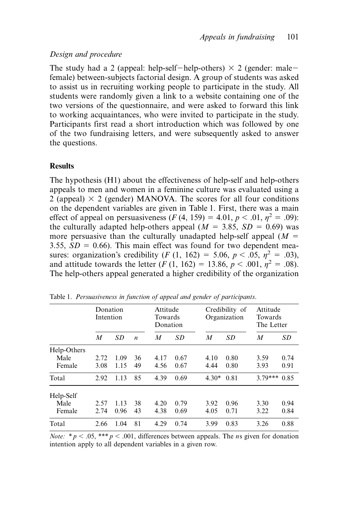#### *Design and procedure*

The study had a 2 (appeal: help-self-help-others)  $\times$  2 (gender: malefemale) between-subjects factorial design. A group of students was asked to assist us in recruiting working people to participate in the study. All students were randomly given a link to a website containing one of the two versions of the questionnaire, and were asked to forward this link to working acquaintances, who were invited to participate in the study. Participants first read a short introduction which was followed by one of the two fundraising letters, and were subsequently asked to answer the questions.

#### **Results**

The hypothesis (H1) about the effectiveness of help-self and help-others appeals to men and women in a feminine culture was evaluated using a  $2$  (appeal)  $\times$  2 (gender) MANOVA. The scores for all four conditions on the dependent variables are given in Table 1. First, there was a main effect of appeal on persuasiveness  $(F(4, 159) = 4.01, p < .01, n^2 = .09)$ : the culturally adapted help-others appeal  $(M = 3.85, SD = 0.69)$  was more persuasive than the culturally unadapted help-self appeal  $(M =$ 3.55,  $SD = 0.66$ ). This main effect was found for two dependent measures: organization's credibility (*F* (1, 162) = 5.06,  $p < .05$ ,  $\eta^2 = .03$ ), and attitude towards the letter  $(F(1, 162) = 13.86, p < .001, n^2 = .08)$ . The help-others appeal generated a higher credibility of the organization

|             | Donation<br>Intention |      |                  | Attitude<br>Towards<br>Donation |      | Credibility of<br>Organization |      | Attitude<br>Towards<br>The Letter |      |
|-------------|-----------------------|------|------------------|---------------------------------|------|--------------------------------|------|-----------------------------------|------|
|             | M                     | SD   | $\boldsymbol{n}$ | M                               | SD   | M                              | SD   | M                                 | SD   |
| Help-Others |                       |      |                  |                                 |      |                                |      |                                   |      |
| Male        | 2.72                  | 1.09 | 36               | 4.17                            | 0.67 | 4.10                           | 0.80 | 3.59                              | 0.74 |
| Female      | 3.08                  | 1.15 | 49               | 4.56                            | 0.67 | 4.44                           | 0.80 | 3.93                              | 0.91 |
| Total       | 2.92                  | 1.13 | 85               | 4.39                            | 0.69 | $4.30*$                        | 0.81 | $3.79***$                         | 0.85 |
| Help-Self   |                       |      |                  |                                 |      |                                |      |                                   |      |
| Male        | 2.57                  | 1.13 | 38               | 4.20                            | 0.79 | 3.92                           | 0.96 | 3.30                              | 0.94 |
| Female      | 2.74                  | 0.96 | 43               | 4.38                            | 0.69 | 4.05                           | 0.71 | 3.22                              | 0.84 |
| Total       | 2.66                  | 1.04 | 81               | 4.29                            | 0.74 | 3.99                           | 0.83 | 3.26                              | 0.88 |

Table 1. *Persuasiveness in function of appeal and gender of participants*.

*Note:*  $* p < .05$ ,  $** p < .001$ , differences between appeals. The *ns* given for donation intention apply to all dependent variables in a given row.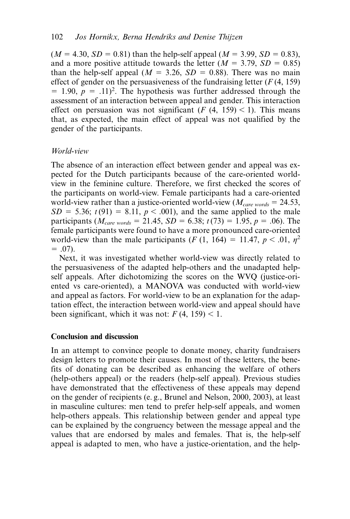$(M = 4.30, SD = 0.81)$  than the help-self appeal  $(M = 3.99, SD = 0.83)$ , and a more positive attitude towards the letter  $(M = 3.79, SD = 0.85)$ than the help-self appeal ( $M = 3.26$ ,  $SD = 0.88$ ). There was no main effect of gender on the persuasiveness of the fundraising letter (*F* (4, 159)  $= 1.90, p = .11$ <sup>2</sup>. The hypothesis was further addressed through the assessment of an interaction between appeal and gender. This interaction effect on persuasion was not significant  $(F (4, 159) < 1)$ . This means that, as expected, the main effect of appeal was not qualified by the gender of the participants.

# *World-view*

The absence of an interaction effect between gender and appeal was expected for the Dutch participants because of the care-oriented worldview in the feminine culture. Therefore, we first checked the scores of the participants on world-view. Female participants had a care-oriented world-view rather than a justice-oriented world-view ( $M_{care\, words} = 24.53$ ,  $SD = 5.36$ ;  $t(91) = 8.11$ ,  $p < .001$ ), and the same applied to the male participants ( $M_{care\ words} = 21.45$ ,  $SD = 6.38$ ;  $t(73) = 1.95$ ,  $p = .06$ ). The female participants were found to have a more pronounced care-oriented world-view than the male participants  $(F(1, 164) = 11.47, p < .01, \eta^2$  $= .07$ ).

Next, it was investigated whether world-view was directly related to the persuasiveness of the adapted help-others and the unadapted helpself appeals. After dichotomizing the scores on the WVQ (justice-oriented vs care-oriented), a MANOVA was conducted with world-view and appeal as factors. For world-view to be an explanation for the adaptation effect, the interaction between world-view and appeal should have been significant, which it was not:  $F(4, 159) < 1$ .

#### **Conclusion and discussion**

In an attempt to convince people to donate money, charity fundraisers design letters to promote their causes. In most of these letters, the benefits of donating can be described as enhancing the welfare of others (help-others appeal) or the readers (help-self appeal). Previous studies have demonstrated that the effectiveness of these appeals may depend on the gender of recipients (e. g., Brunel and Nelson, 2000, 2003), at least in masculine cultures: men tend to prefer help-self appeals, and women help-others appeals. This relationship between gender and appeal type can be explained by the congruency between the message appeal and the values that are endorsed by males and females. That is, the help-self appeal is adapted to men, who have a justice-orientation, and the help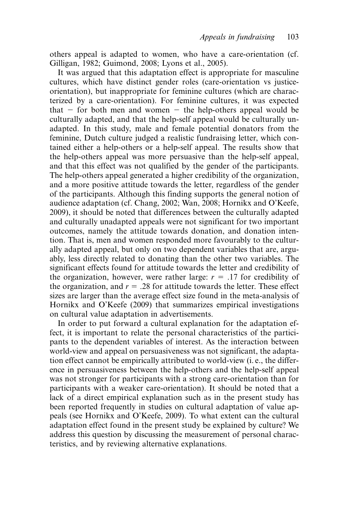others appeal is adapted to women, who have a care-orientation (cf. Gilligan, 1982; Guimond, 2008; Lyons et al., 2005).

It was argued that this adaptation effect is appropriate for masculine cultures, which have distinct gender roles (care-orientation vs justiceorientation), but inappropriate for feminine cultures (which are characterized by a care-orientation). For feminine cultures, it was expected  $that$  – for both men and women – the help-others appeal would be culturally adapted, and that the help-self appeal would be culturally unadapted. In this study, male and female potential donators from the feminine, Dutch culture judged a realistic fundraising letter, which contained either a help-others or a help-self appeal. The results show that the help-others appeal was more persuasive than the help-self appeal, and that this effect was not qualified by the gender of the participants. The help-others appeal generated a higher credibility of the organization, and a more positive attitude towards the letter, regardless of the gender of the participants. Although this finding supports the general notion of audience adaptation (cf. Chang, 2002; Wan, 2008; Hornikx and O'Keefe, 2009), it should be noted that differences between the culturally adapted and culturally unadapted appeals were not significant for two important outcomes, namely the attitude towards donation, and donation intention. That is, men and women responded more favourably to the culturally adapted appeal, but only on two dependent variables that are, arguably, less directly related to donating than the other two variables. The significant effects found for attitude towards the letter and credibility of the organization, however, were rather large:  $r = .17$  for credibility of the organization, and  $r = .28$  for attitude towards the letter. These effect sizes are larger than the average effect size found in the meta-analysis of Hornikx and O'Keefe (2009) that summarizes empirical investigations on cultural value adaptation in advertisements.

In order to put forward a cultural explanation for the adaptation effect, it is important to relate the personal characteristics of the participants to the dependent variables of interest. As the interaction between world-view and appeal on persuasiveness was not significant, the adaptation effect cannot be empirically attributed to world-view (i. e., the difference in persuasiveness between the help-others and the help-self appeal was not stronger for participants with a strong care-orientation than for participants with a weaker care-orientation). It should be noted that a lack of a direct empirical explanation such as in the present study has been reported frequently in studies on cultural adaptation of value appeals (see Hornikx and O'Keefe, 2009). To what extent can the cultural adaptation effect found in the present study be explained by culture? We address this question by discussing the measurement of personal characteristics, and by reviewing alternative explanations.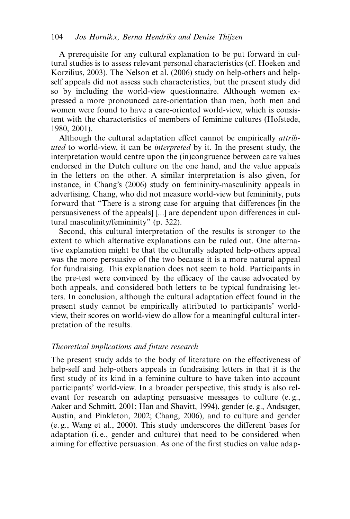A prerequisite for any cultural explanation to be put forward in cultural studies is to assess relevant personal characteristics (cf. Hoeken and Korzilius, 2003). The Nelson et al. (2006) study on help-others and helpself appeals did not assess such characteristics, but the present study did so by including the world-view questionnaire. Although women expressed a more pronounced care-orientation than men, both men and women were found to have a care-oriented world-view, which is consistent with the characteristics of members of feminine cultures (Hofstede, 1980, 2001).

Although the cultural adaptation effect cannot be empirically *attributed* to world-view, it can be *interpreted* by it. In the present study, the interpretation would centre upon the (in)congruence between care values endorsed in the Dutch culture on the one hand, and the value appeals in the letters on the other. A similar interpretation is also given, for instance, in Chang's (2006) study on femininity-masculinity appeals in advertising. Chang, who did not measure world-view but femininity, puts forward that "There is a strong case for arguing that differences [in the persuasiveness of the appeals] [...] are dependent upon differences in cultural masculinity/femininity" (p. 322).

Second, this cultural interpretation of the results is stronger to the extent to which alternative explanations can be ruled out. One alternative explanation might be that the culturally adapted help-others appeal was the more persuasive of the two because it is a more natural appeal for fundraising. This explanation does not seem to hold. Participants in the pre-test were convinced by the efficacy of the cause advocated by both appeals, and considered both letters to be typical fundraising letters. In conclusion, although the cultural adaptation effect found in the present study cannot be empirically attributed to participants' worldview, their scores on world-view do allow for a meaningful cultural interpretation of the results.

#### *Theoretical implications and future research*

The present study adds to the body of literature on the effectiveness of help-self and help-others appeals in fundraising letters in that it is the first study of its kind in a feminine culture to have taken into account participants' world-view. In a broader perspective, this study is also relevant for research on adapting persuasive messages to culture (e. g., Aaker and Schmitt, 2001; Han and Shavitt, 1994), gender (e. g., Andsager, Austin, and Pinkleton, 2002; Chang, 2006), and to culture and gender (e. g., Wang et al., 2000). This study underscores the different bases for adaptation (i. e., gender and culture) that need to be considered when aiming for effective persuasion. As one of the first studies on value adap-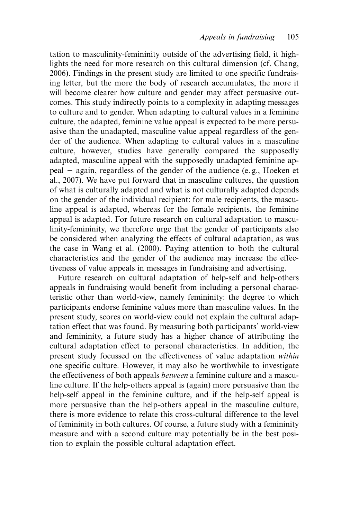tation to masculinity-femininity outside of the advertising field, it highlights the need for more research on this cultural dimension (cf. Chang, 2006). Findings in the present study are limited to one specific fundraising letter, but the more the body of research accumulates, the more it will become clearer how culture and gender may affect persuasive outcomes. This study indirectly points to a complexity in adapting messages to culture and to gender. When adapting to cultural values in a feminine culture, the adapted, feminine value appeal is expected to be more persuasive than the unadapted, masculine value appeal regardless of the gender of the audience. When adapting to cultural values in a masculine culture, however, studies have generally compared the supposedly adapted, masculine appeal with the supposedly unadapted feminine appeal - again, regardless of the gender of the audience (e. g., Hoeken et al., 2007). We have put forward that in masculine cultures, the question of what is culturally adapted and what is not culturally adapted depends on the gender of the individual recipient: for male recipients, the masculine appeal is adapted, whereas for the female recipients, the feminine appeal is adapted. For future research on cultural adaptation to masculinity-femininity, we therefore urge that the gender of participants also be considered when analyzing the effects of cultural adaptation, as was the case in Wang et al. (2000). Paying attention to both the cultural characteristics and the gender of the audience may increase the effectiveness of value appeals in messages in fundraising and advertising.

Future research on cultural adaptation of help-self and help-others appeals in fundraising would benefit from including a personal characteristic other than world-view, namely femininity: the degree to which participants endorse feminine values more than masculine values. In the present study, scores on world-view could not explain the cultural adaptation effect that was found. By measuring both participants' world-view and femininity, a future study has a higher chance of attributing the cultural adaptation effect to personal characteristics. In addition, the present study focussed on the effectiveness of value adaptation *within* one specific culture. However, it may also be worthwhile to investigate the effectiveness of both appeals *between* a feminine culture and a masculine culture. If the help-others appeal is (again) more persuasive than the help-self appeal in the feminine culture, and if the help-self appeal is more persuasive than the help-others appeal in the masculine culture, there is more evidence to relate this cross-cultural difference to the level of femininity in both cultures. Of course, a future study with a femininity measure and with a second culture may potentially be in the best position to explain the possible cultural adaptation effect.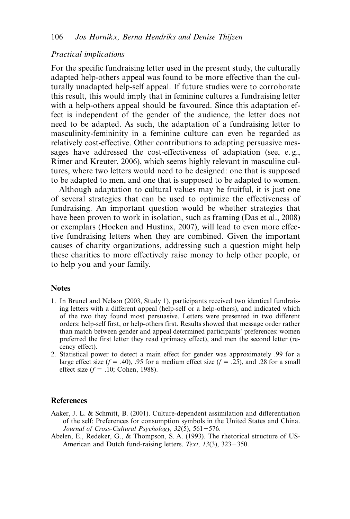# *Practical implications*

For the specific fundraising letter used in the present study, the culturally adapted help-others appeal was found to be more effective than the culturally unadapted help-self appeal. If future studies were to corroborate this result, this would imply that in feminine cultures a fundraising letter with a help-others appeal should be favoured. Since this adaptation effect is independent of the gender of the audience, the letter does not need to be adapted. As such, the adaptation of a fundraising letter to masculinity-femininity in a feminine culture can even be regarded as relatively cost-effective. Other contributions to adapting persuasive messages have addressed the cost-effectiveness of adaptation (see, e. g., Rimer and Kreuter, 2006), which seems highly relevant in masculine cultures, where two letters would need to be designed: one that is supposed to be adapted to men, and one that is supposed to be adapted to women.

Although adaptation to cultural values may be fruitful, it is just one of several strategies that can be used to optimize the effectiveness of fundraising. An important question would be whether strategies that have been proven to work in isolation, such as framing (Das et al., 2008) or exemplars (Hoeken and Hustinx, 2007), will lead to even more effective fundraising letters when they are combined. Given the important causes of charity organizations, addressing such a question might help these charities to more effectively raise money to help other people, or to help you and your family.

#### **Notes**

- 1. In Brunel and Nelson (2003, Study 1), participants received two identical fundraising letters with a different appeal (help-self or a help-others), and indicated which of the two they found most persuasive. Letters were presented in two different orders: help-self first, or help-others first. Results showed that message order rather than match between gender and appeal determined participants' preferences: women preferred the first letter they read (primacy effect), and men the second letter (recency effect).
- 2. Statistical power to detect a main effect for gender was approximately .99 for a large effect size ( $f = .40$ ), .95 for a medium effect size ( $f = .25$ ), and .28 for a small effect size  $(f = .10; \text{Cohen}, 1988)$ .

# **References**

- Aaker, J. L. & Schmitt, B. (2001). Culture-dependent assimilation and differentiation of the self: Preferences for consumption symbols in the United States and China. *Journal of Cross-Cultural Psychology, 32*(5), 561-576.
- Abelen, E., Redeker, G., & Thompson, S. A. (1993). The rhetorical structure of US-American and Dutch fund-raising letters. *Text, 13*(3), 323-350.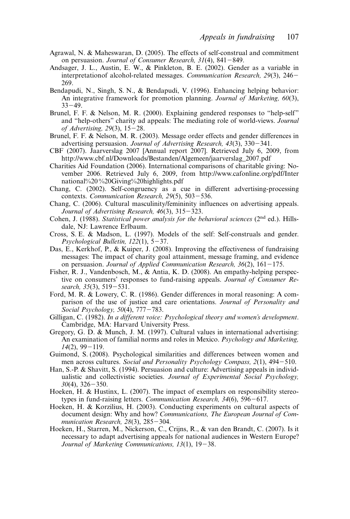- Agrawal, N. & Maheswaran, D. (2005). The effects of self-construal and commitment on persuasion. *Journal of Consumer Research, 31*(4), 841-849.
- Andsager, J. L., Austin, E. W., & Pinkleton, B. E. (2002). Gender as a variable in interpretationof alcohol-related messages. *Communication Research, 29*(3), 246- 269.
- Bendapudi, N., Singh, S. N., & Bendapudi, V. (1996). Enhancing helping behavior: An integrative framework for promotion planning. *Journal of Marketing, 60*(3),  $33 - 49$ .
- Brunel, F. F. & Nelson, M. R. (2000). Explaining gendered responses to "help-self" and "help-others" charity ad appeals: The mediating role of world-views. *Journal of Advertising, 29*(3), 15-28.
- Brunel, F. F. & Nelson, M. R. (2003). Message order effects and gender differences in advertising persuasion. *Journal of Advertising Research, 43*(3), 330-341.
- CBF (2007). Jaarverslag 2007 [Annual report 2007]. Retrieved July 6, 2009, from http://www.cbf.nl/Downloads/Bestanden/Algemeen/jaarverslag\_2007.pdf
- Charities Aid Foundation (2006). International comparisons of charitable giving: November 2006. Retrieved July 6, 2009, from http://www.cafonline.org/pdf/Inter national%20 %20Giving%20highlights.pdf
- Chang, C. (2002). Self-congruency as a cue in different advertising-processing contexts. *Communication Research, 29*(5), 503-536.
- Chang, C. (2006). Cultural masculinity/femininity influences on advertising appeals. *Journal of Advertising Research, 46*(3), 315-323.
- Cohen, J. (1988). *Statistical power analysis for the behavioral sciences* (2nd ed.). Hillsdale, NJ: Lawrence Erlbaum.
- Cross, S. E. & Madson, L. (1997). Models of the self: Self-construals and gender. *Psychological Bulletin, 122*(1), 5-37.
- Das, E., Kerkhof, P., & Kuiper, J. (2008). Improving the effectiveness of fundraising messages: The impact of charity goal attainment, message framing, and evidence on persuasion. *Journal of Applied Communication Research, 36*(2), 161-175.
- Fisher, R. J., Vandenbosch, M., & Antia, K. D. (2008). An empathy-helping perspective on consumers' responses to fund-raising appeals. *Journal of Consumer Research, 35*(3), 519-531.
- Ford, M. R. & Lowery, C. R. (1986). Gender differences in moral reasoning: A comparison of the use of justice and care orientations. *Journal of Personality and Social Psychology, 50*(4), 777-783.
- Gilligan, C. (1982). *In a different voice: Psychological theory and women's development*. Cambridge, MA: Harvard University Press.
- Gregory, G. D. & Munch, J. M. (1997). Cultural values in international advertising: An examination of familial norms and roles in Mexico. *Psychology and Marketing, 14*(2), 99-119.
- Guimond, S. (2008). Psychological similarities and differences between women and men across cultures. *Social and Personality Psychology Compass, 2*(1), 494-510.
- Han, S.-P. & Shavitt, S. (1994). Persuasion and culture: Advertising appeals in individualistic and collectivistic societies. *Journal of Experimental Social Psychology, 30*(4), 326-350.
- Hoeken, H. & Hustinx, L. (2007). The impact of exemplars on responsibility stereotypes in fund-raising letters. *Communication Research, 34*(6), 596-617.
- Hoeken, H. & Korzilius, H. (2003). Conducting experiments on cultural aspects of document design: Why and how? *Communications, The European Journal of Communication Research, 28*(3), 285-304.
- Hoeken, H., Starren, M., Nickerson, C., Crijns, R., & van den Brandt, C. (2007). Is it necessary to adapt advertising appeals for national audiences in Western Europe? *Journal of Marketing Communications, 13*(1), 19-38.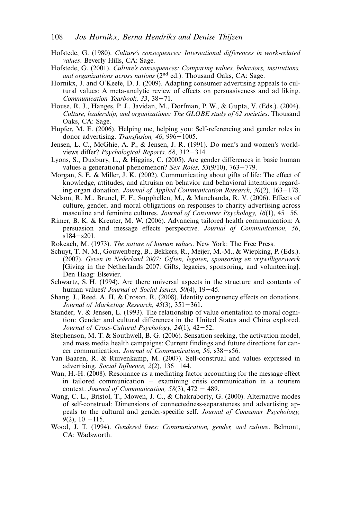- Hofstede, G. (1980). *Culture's consequences: International differences in work-related values*. Beverly Hills, CA: Sage.
- Hofstede, G. (2001). *Culture's consequences: Comparing values, behaviors, institutions, and organizations across nations* (2nd ed.). Thousand Oaks, CA: Sage.
- Hornikx, J. and O'Keefe, D. J. (2009). Adapting consumer advertising appeals to cultural values: A meta-analytic review of effects on persuasiveness and ad liking. *Communication Yearbook, 33*, 38-71.
- House, R. J., Hanges, P. J., Javidan, M., Dorfman, P. W., & Gupta, V. (Eds.). (2004). *Culture, leadership, and organizations: The GLOBE study of 62 societies*. Thousand Oaks, CA: Sage.
- Hupfer, M. E. (2006). Helping me, helping you: Self-referencing and gender roles in donor advertising. *Transfusion, 46*, 996-1005.
- Jensen, L. C., McGhie, A. P., & Jensen, J. R. (1991). Do men's and women's worldviews differ? *Psychological Reports, 68*, 312-314.
- Lyons, S., Duxbury, L., & Higgins, C. (2005). Are gender differences in basic human values a generational phenomenon? *Sex Roles, 53*(9/10), 763-779.
- Morgan, S. E. & Miller, J. K. (2002). Communicating about gifts of life: The effect of knowledge, attitudes, and altruism on behavior and behavioral intentions regarding organ donation. *Journal of Applied Communication Research, 30*(2), 163-178.
- Nelson, R. M., Brunel, F. F., Supphellen, M., & Manchanda, R. V. (2006). Effects of culture, gender, and moral obligations on responses to charity advertising across masculine and feminine cultures. *Journal of Consumer Psychology, 16*(1), 45-56.
- Rimer, B. K. & Kreuter, M. W. (2006). Advancing tailored health communication: A persuasion and message effects perspective. *Journal of Communication, 56*, s184-s201.
- Rokeach, M. (1973). *The nature of human values*. New York: The Free Press.
- Schuyt, T. N. M., Gouwenberg, B., Bekkers, R., Meijer, M.-M., & Wiepking, P. (Eds.). (2007). *Geven in Nederland 2007: Giften, legaten, sponsoring en vrijwilligerswerk* [Giving in the Netherlands 2007: Gifts, legacies, sponsoring, and volunteering]. Den Haag: Elsevier.
- Schwartz, S. H. (1994). Are there universal aspects in the structure and contents of human values? *Journal of Social Issues, 50*(4), 19-45.
- Shang, J., Reed, A. II, & Croson, R. (2008). Identity congruency effects on donations. *Journal of Marketing Research, 45*(3), 351-361.
- Stander, V. & Jensen, L. (1993). The relationship of value orientation to moral cognition: Gender and cultural differences in the United States and China explored. *Journal of Cross-Cultural Psychology, 24*(1), 42-52.
- Stephenson, M. T. & Southwell, B. G. (2006). Sensation seeking, the activation model, and mass media health campaigns: Current findings and future directions for cancer communication. *Journal of Communication, 56*, s38-s56.
- Van Baaren, R. & Ruivenkamp, M. (2007). Self-construal and values expressed in advertising. *Social Influence, 2*(2), 136-144.
- Wan, H.-H. (2008). Resonance as a mediating factor accounting for the message effect in tailored communication - examining crisis communication in a tourism context. *Journal of Communication, 58*(3), 472 - 489.
- Wang, C. L., Bristol, T., Mowen, J. C., & Chakraborty, G. (2000). Alternative modes of self-construal: Dimensions of connectedness-separateness and advertising appeals to the cultural and gender-specific self. *Journal of Consumer Psychology, 9*(2), 10 -115.
- Wood, J. T. (1994). *Gendered lives: Communication, gender, and culture*. Belmont, CA: Wadsworth.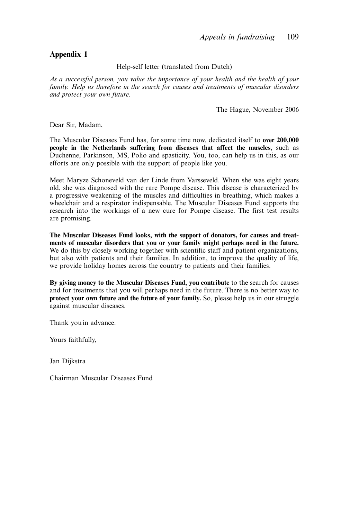#### **Appendix 1**

Help-self letter (translated from Dutch)

*As a successful person, you value the importance of your health and the health of your family. Help us therefore in the search for causes and treatments of muscular disorders and protect your own future.*

The Hague, November 2006

Dear Sir, Madam,

The Muscular Diseases Fund has, for some time now, dedicated itself to **over 200,000 people in the Netherlands suffering from diseases that affect the muscles**, such as Duchenne, Parkinson, MS, Polio and spasticity. You, too, can help us in this, as our efforts are only possible with the support of people like you.

Meet Maryze Schoneveld van der Linde from Varsseveld. When she was eight years old, she was diagnosed with the rare Pompe disease. This disease is characterized by a progressive weakening of the muscles and difficulties in breathing, which makes a wheelchair and a respirator indispensable. The Muscular Diseases Fund supports the research into the workings of a new cure for Pompe disease. The first test results are promising.

**The Muscular Diseases Fund looks, with the support of donators, for causes and treatments of muscular disorders that you or your family might perhaps need in the future.** We do this by closely working together with scientific staff and patient organizations. but also with patients and their families. In addition, to improve the quality of life, we provide holiday homes across the country to patients and their families.

**By giving money to the Muscular Diseases Fund, you contribute** to the search for causes and for treatments that you will perhaps need in the future. There is no better way to **protect your own future and the future of your family.** So, please help us in our struggle against muscular diseases.

Thank you in advance.

Yours faithfully,

Jan Dijkstra

Chairman Muscular Diseases Fund